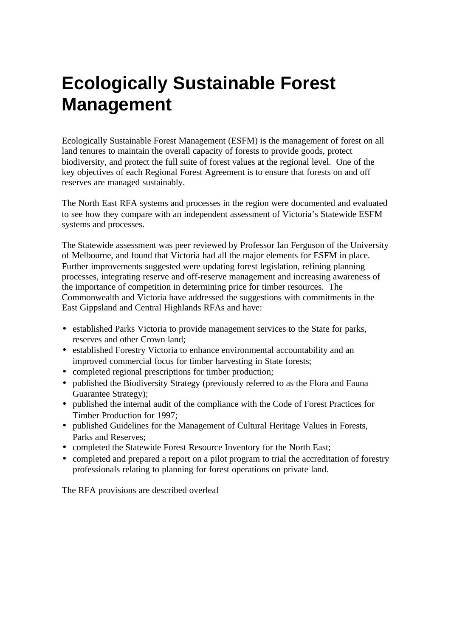## **Ecologically Sustainable Forest Management**

Ecologically Sustainable Forest Management (ESFM) is the management of forest on all land tenures to maintain the overall capacity of forests to provide goods, protect biodiversity, and protect the full suite of forest values at the regional level. One of the key objectives of each Regional Forest Agreement is to ensure that forests on and off reserves are managed sustainably.

The North East RFA systems and processes in the region were documented and evaluated to see how they compare with an independent assessment of Victoria's Statewide ESFM systems and processes.

The Statewide assessment was peer reviewed by Professor Ian Ferguson of the University of Melbourne, and found that Victoria had all the major elements for ESFM in place. Further improvements suggested were updating forest legislation, refining planning processes, integrating reserve and off-reserve management and increasing awareness of the importance of competition in determining price for timber resources. The Commonwealth and Victoria have addressed the suggestions with commitments in the East Gippsland and Central Highlands RFAs and have:

- established Parks Victoria to provide management services to the State for parks, reserves and other Crown land;
- established Forestry Victoria to enhance environmental accountability and an improved commercial focus for timber harvesting in State forests;
- completed regional prescriptions for timber production;
- published the Biodiversity Strategy (previously referred to as the Flora and Fauna Guarantee Strategy);
- published the internal audit of the compliance with the Code of Forest Practices for Timber Production for 1997;
- published Guidelines for the Management of Cultural Heritage Values in Forests, Parks and Reserves;
- completed the Statewide Forest Resource Inventory for the North East;
- completed and prepared a report on a pilot program to trial the accreditation of forestry professionals relating to planning for forest operations on private land.

The RFA provisions are described overleaf